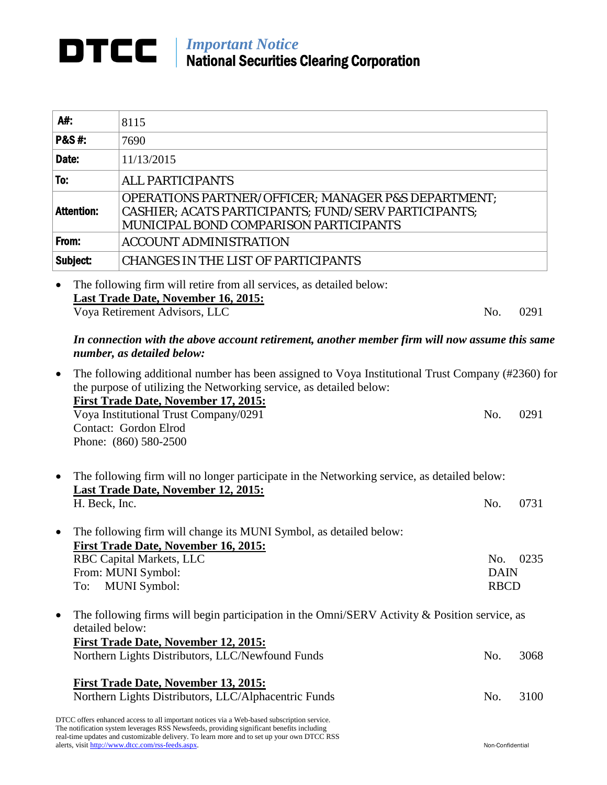## *Important Notice* National Securities Clearing Corporation

| A#:               | 8115                                                                                                                                                             |
|-------------------|------------------------------------------------------------------------------------------------------------------------------------------------------------------|
| <b>P&amp;S#:</b>  | 7690                                                                                                                                                             |
| Date:             | 11/13/2015                                                                                                                                                       |
| To:               | <b>ALL PARTICIPANTS</b>                                                                                                                                          |
| <b>Attention:</b> | <b>OPERATIONS PARTNER/OFFICER; MANAGER P&amp;S DEPARTMENT;</b><br>CASHIER; ACATS PARTICIPANTS; FUND/SERV PARTICIPANTS;<br>MUNICIPAL BOND COMPARISON PARTICIPANTS |
| From:             | <b>ACCOUNT ADMINISTRATION</b>                                                                                                                                    |
| Subject:          | <b>CHANGES IN THE LIST OF PARTICIPANTS</b>                                                                                                                       |

• The following firm will retire from all services, as detailed below: **Last Trade Date, November 16, 2015:** Voya Retirement Advisors, LLC No. 0291

## *In connection with the above account retirement, another member firm will now assume this same number, as detailed below:*

| $\bullet$ | The following additional number has been assigned to Voya Institutional Trust Company (#2360) for<br>the purpose of utilizing the Networking service, as detailed below:                                                                                                                                                                   |                                   |      |  |
|-----------|--------------------------------------------------------------------------------------------------------------------------------------------------------------------------------------------------------------------------------------------------------------------------------------------------------------------------------------------|-----------------------------------|------|--|
|           | First Trade Date, November 17, 2015:<br>Voya Institutional Trust Company/0291<br>Contact: Gordon Elrod<br>Phone: (860) 580-2500                                                                                                                                                                                                            | No.                               | 0291 |  |
|           | The following firm will no longer participate in the Networking service, as detailed below:<br>Last Trade Date, November 12, 2015:                                                                                                                                                                                                         |                                   |      |  |
|           | H. Beck, Inc.                                                                                                                                                                                                                                                                                                                              | No.                               | 0731 |  |
| $\bullet$ | The following firm will change its MUNI Symbol, as detailed below:<br>First Trade Date, November 16, 2015:<br>RBC Capital Markets, LLC<br>From: MUNI Symbol:<br><b>MUNI</b> Symbol:<br>To:                                                                                                                                                 | No.<br><b>DAIN</b><br><b>RBCD</b> | 0235 |  |
| $\bullet$ | The following firms will begin participation in the Omni/SERV Activity & Position service, as<br>detailed below:<br><b>First Trade Date, November 12, 2015:</b><br>Northern Lights Distributors, LLC/Newfound Funds                                                                                                                        | No.                               | 3068 |  |
|           | <b>First Trade Date, November 13, 2015:</b><br>Northern Lights Distributors, LLC/Alphacentric Funds                                                                                                                                                                                                                                        | No.                               | 3100 |  |
|           | DTCC offers enhanced access to all important notices via a Web-based subscription service.<br>The notification system leverages RSS Newsfeeds, providing significant benefits including<br>real-time updates and customizable delivery. To learn more and to set up your own DTCC RSS<br>alerts, visit http://www.dtcc.com/rss-feeds.aspx. | Non-Confidential                  |      |  |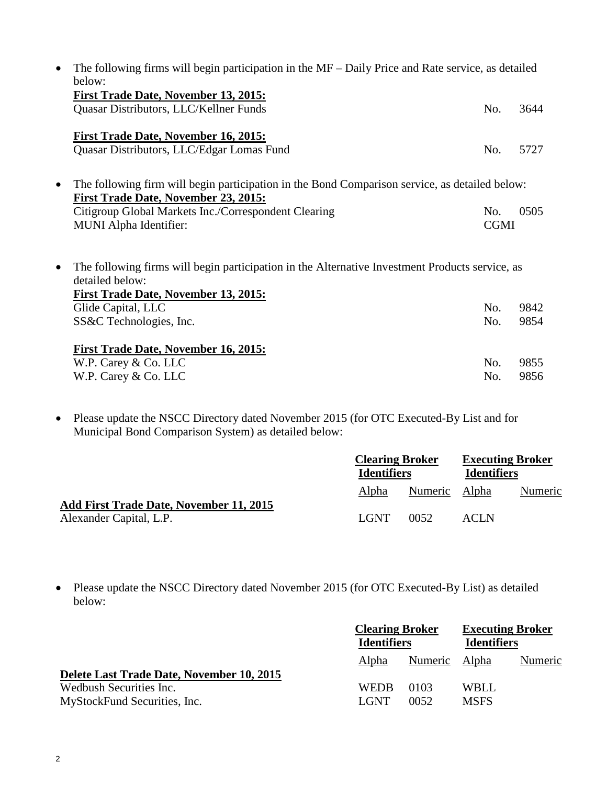|           | The following firms will begin participation in the MF – Daily Price and Rate service, as detailed<br>below:                                                      |             |      |  |  |
|-----------|-------------------------------------------------------------------------------------------------------------------------------------------------------------------|-------------|------|--|--|
|           | <b>First Trade Date, November 13, 2015:</b>                                                                                                                       |             |      |  |  |
|           | Quasar Distributors, LLC/Kellner Funds                                                                                                                            | No.         | 3644 |  |  |
|           | First Trade Date, November 16, 2015:                                                                                                                              |             |      |  |  |
|           | Quasar Distributors, LLC/Edgar Lomas Fund                                                                                                                         | No.         | 5727 |  |  |
| $\bullet$ | The following firm will begin participation in the Bond Comparison service, as detailed below:<br><b>First Trade Date, November 23, 2015:</b>                     |             |      |  |  |
|           | Citigroup Global Markets Inc./Correspondent Clearing                                                                                                              | No.         | 0505 |  |  |
|           | <b>MUNI</b> Alpha Identifier:                                                                                                                                     | <b>CGMI</b> |      |  |  |
| $\bullet$ | The following firms will begin participation in the Alternative Investment Products service, as<br>detailed below:<br><b>First Trade Date, November 13, 2015:</b> |             |      |  |  |
|           | Glide Capital, LLC                                                                                                                                                | No.         | 9842 |  |  |
|           | SS&C Technologies, Inc.                                                                                                                                           | No.         | 9854 |  |  |
|           | <b>First Trade Date, November 16, 2015:</b>                                                                                                                       |             |      |  |  |
|           | W.P. Carey & Co. LLC                                                                                                                                              | No.         | 9855 |  |  |
|           | W.P. Carey & Co. LLC                                                                                                                                              | No.         | 9856 |  |  |

• Please update the NSCC Directory dated November 2015 (for OTC Executed-By List and for Municipal Bond Comparison System) as detailed below:

|                                                                           | <b>Clearing Broker</b><br><b>Identifiers</b> |               | <b>Executing Broker</b><br><b>Identifiers</b> |         |
|---------------------------------------------------------------------------|----------------------------------------------|---------------|-----------------------------------------------|---------|
|                                                                           | Alpha                                        | Numeric Alpha |                                               | Numeric |
| <b>Add First Trade Date, November 11, 2015</b><br>Alexander Capital, L.P. | LGNT                                         | 0052          | ACLN                                          |         |

• Please update the NSCC Directory dated November 2015 (for OTC Executed-By List) as detailed below:

|                                                                                                      | <b>Clearing Broker</b><br><b>Identifiers</b> |               | <b>Executing Broker</b><br><b>Identifiers</b> |         |
|------------------------------------------------------------------------------------------------------|----------------------------------------------|---------------|-----------------------------------------------|---------|
|                                                                                                      | Alpha                                        | Numeric Alpha |                                               | Numeric |
| Delete Last Trade Date, November 10, 2015<br>Wedbush Securities Inc.<br>MyStockFund Securities, Inc. | <b>WEDB</b><br>LGNT                          | 0103<br>0052  | WBLL<br><b>MSFS</b>                           |         |